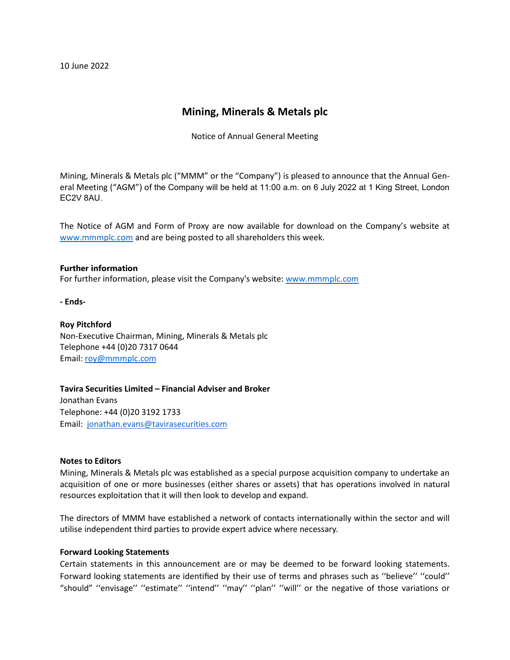10 June 2022

# **Mining, Minerals & Metals plc**

Notice of Annual General Meeting

Mining, Minerals & Metals plc ("MMM" or the "Company") is pleased to announce that the Annual General Meeting ("AGM") of the Company will be held at 11:00 a.m. on 6 July 2022 at 1 King Street, London EC2V 8AU.

The Notice of AGM and Form of Proxy are now available for download on the Company's website at [www.mmmplc.com](http://www.mmmplc.com/) and are being posted to all shareholders this week.

## **Further information**

For further information, please visit the Company's website: [www.mmmplc.com](http://www.mmmplc.com/)

**- Ends-**

## **Roy Pitchford** Non-Executive Chairman, Mining, Minerals & Metals plc Telephone +44 (0)20 7317 0644 Email: [roy@mmmplc.com](mailto:roy@mmmplc.com)

**Tavira Securities Limited – Financial Adviser and Broker** Jonathan Evans Telephone: +44 (0)20 3192 1733 Email: [jonathan.evans@tavirasecurities.com](mailto:jonathan.evans@tavirasecurities.com)

## **Notes to Editors**

Mining, Minerals & Metals plc was established as a special purpose acquisition company to undertake an acquisition of one or more businesses (either shares or assets) that has operations involved in natural resources exploitation that it will then look to develop and expand.

The directors of MMM have established a network of contacts internationally within the sector and will utilise independent third parties to provide expert advice where necessary.

## **Forward Looking Statements**

Certain statements in this announcement are or may be deemed to be forward looking statements. Forward looking statements are identified by their use of terms and phrases such as ''believe'' ''could'' "should" ''envisage'' ''estimate'' ''intend'' ''may'' ''plan'' ''will'' or the negative of those variations or